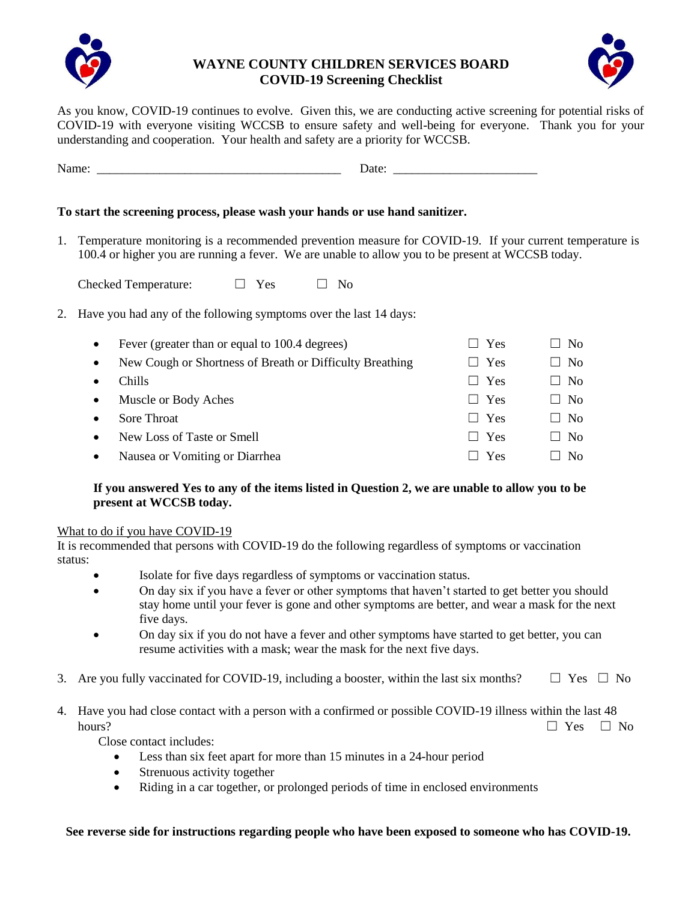

### **WAYNE COUNTY CHILDREN SERVICES BOARD COVID-19 Screening Checklist**



As you know, COVID-19 continues to evolve. Given this, we are conducting active screening for potential risks of COVID-19 with everyone visiting WCCSB to ensure safety and well-being for everyone. Thank you for your understanding and cooperation. Your health and safety are a priority for WCCSB.

| - -<br><br>$\cdots$ |  | ----<br>. |  |
|---------------------|--|-----------|--|
|---------------------|--|-----------|--|

#### **To start the screening process, please wash your hands or use hand sanitizer.**

1. Temperature monitoring is a recommended prevention measure for COVID-19. If your current temperature is 100.4 or higher you are running a fever. We are unable to allow you to be present at WCCSB today.

Checked Temperature:  $\Box$  Yes  $\Box$  No

2. Have you had any of the following symptoms over the last 14 days:

| $\bullet$ | Fever (greater than or equal to 100.4 degrees)           | Yes        | $\Box$ No          |
|-----------|----------------------------------------------------------|------------|--------------------|
| $\bullet$ | New Cough or Shortness of Breath or Difficulty Breathing | $\Box$ Yes | $\Box$ No          |
| $\bullet$ | Chills                                                   | $\Box$ Yes | $\Box$ No          |
| $\bullet$ | Muscle or Body Aches                                     | $\Box$ Yes | $\Box$ No          |
| $\bullet$ | Sore Throat                                              | $\Box$ Yes | $\Box$ No          |
| $\bullet$ | New Loss of Taste or Smell                               | $\Box$ Yes | $\Box$ No          |
| $\bullet$ | Nausea or Vomiting or Diarrhea                           | Yes        | $\sqrt{N_{\rm O}}$ |

## **If you answered Yes to any of the items listed in Question 2, we are unable to allow you to be present at WCCSB today.**

#### What to do if you have COVID-19

It is recommended that persons with COVID-19 do the following regardless of symptoms or vaccination status:

- Isolate for five days regardless of symptoms or vaccination status.
- On day six if you have a fever or other symptoms that haven't started to get better you should stay home until your fever is gone and other symptoms are better, and wear a mask for the next five days.
- On day six if you do not have a fever and other symptoms have started to get better, you can resume activities with a mask; wear the mask for the next five days.
- 3. Are you fully vaccinated for COVID-19, including a booster, within the last six months?  $\Box$  Yes  $\Box$  No
- 4. Have you had close contact with a person with a confirmed or possible COVID-19 illness within the last 48 hours?  $\Box$  Yes  $\Box$  No

Close contact includes:

- Less than six feet apart for more than 15 minutes in a 24-hour period
- Strenuous activity together
- Riding in a car together, or prolonged periods of time in enclosed environments

**See reverse side for instructions regarding people who have been exposed to someone who has COVID-19.**